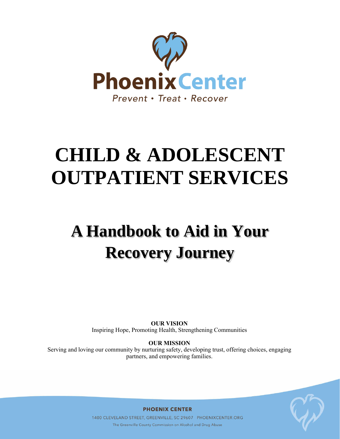

# **CHILD & ADOLESCENT OUTPATIENT SERVICES**

# **A Handbook to Aid in Your Recovery Journey**

**OUR VISION** Inspiring Hope, Promoting Health, Strengthening Communities

**OUR MISSION** Serving and loving our community by nurturing safety, developing trust, offering choices, engaging partners, and empowering families.



**PHOENIX CENTER** 

1400 CLEVELAND STREET, GREENVILLE, SC 29607 PHOENIXCENTER.ORG The Greenville County Commission on Alcohol and Drug Abuse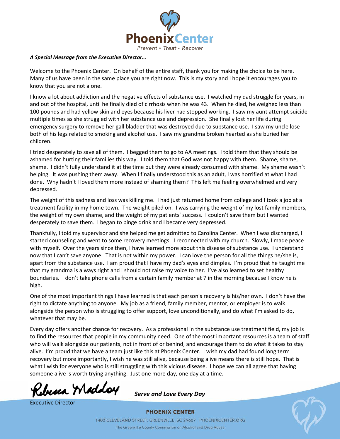

#### *A Special Message from the Executive Director…*

Welcome to the Phoenix Center. On behalf of the entire staff, thank you for making the choice to be here. Many of us have been in the same place you are right now. This is my story and I hope it encourages you to know that you are not alone.

I know a lot about addiction and the negative effects of substance use. I watched my dad struggle for years, in and out of the hospital, until he finally died of cirrhosis when he was 43. When he died, he weighed less than 100 pounds and had yellow skin and eyes because his liver had stopped working. I saw my aunt attempt suicide multiple times as she struggled with her substance use and depression. She finally lost her life during emergency surgery to remove her gall bladder that was destroyed due to substance use. I saw my uncle lose both of his legs related to smoking and alcohol use. I saw my grandma broken hearted as she buried her children.

I tried desperately to save all of them. I begged them to go to AA meetings. I told them that they should be ashamed for hurting their families this way. I told them that God was not happy with them. Shame, shame, shame. I didn't fully understand it at the time but they were already consumed with shame. My shame wasn't helping. It was pushing them away. When I finally understood this as an adult, I was horrified at what I had done. Why hadn't I loved them more instead of shaming them? This left me feeling overwhelmed and very depressed.

The weight of this sadness and loss was killing me. I had just returned home from college and I took a job at a treatment facility in my home town. The weight piled on. I was carrying the weight of my lost family members, the weight of my own shame, and the weight of my patients' success. I couldn't save them but I wanted desperately to save them. I began to binge drink and I became very depressed.

Thankfully, I told my supervisor and she helped me get admitted to Carolina Center. When I was discharged, I started counseling and went to some recovery meetings. I reconnected with my church. Slowly, I made peace with myself. Over the years since then, I have learned more about this disease of substance use. I understand now that I can't save anyone. That is not within my power. I can love the person for all the things he/she is, apart from the substance use. I am proud that I have my dad's eyes and dimples. I'm proud that he taught me that my grandma is always right and I should not raise my voice to her. I've also learned to set healthy boundaries. I don't take phone calls from a certain family member at 7 in the morning because I know he is high.

One of the most important things I have learned is that each person's recovery is his/her own. I don't have the right to dictate anything to anyone. My job as a friend, family member, mentor, or employer is to walk alongside the person who is struggling to offer support, love unconditionally, and do what I'm asked to do, whatever that may be.

Every day offers another chance for recovery. As a professional in the substance use treatment field, my job is to find the resources that people in my community need. One of the most important resources is a team of staff who will walk alongside our patients, not in front of or behind, and encourage them to do what it takes to stay alive. I'm proud that we have a team just like this at Phoenix Center. I wish my dad had found long term recovery but more importantly, I wish he was still alive, because being alive means there is still hope. That is what I wish for everyone who is still struggling with this vicious disease. I hope we can all agree that having someone alive is worth trying anything. Just one more day, one day at a time.

Rebecca Maddoy

Executive Director

*Serve and Love Every Day*

**PHOENIX CENTER** 

1400 CLEVELAND STREET, GREENVILLE, SC 29607 PHOENIXCENTER.ORG The Greenville County Commission on Alcohol and Drug Abuse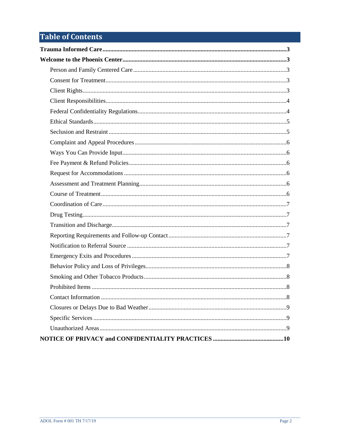# **Table of Contents**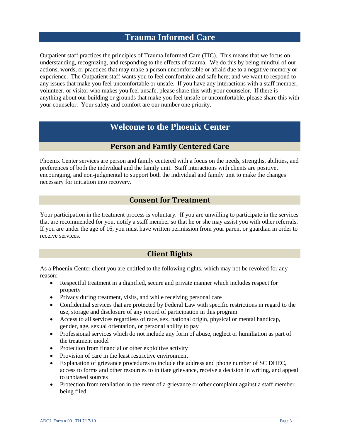# **Trauma Informed Care**

<span id="page-3-0"></span>Outpatient staff practices the principles of Trauma Informed Care (TIC). This means that we focus on understanding, recognizing, and responding to the effects of trauma. We do this by being mindful of our actions, words, or practices that may make a person uncomfortable or afraid due to a negative memory or experience. The Outpatient staff wants you to feel comfortable and safe here; and we want to respond to any issues that make you feel uncomfortable or unsafe. If you have any interactions with a staff member, volunteer, or visitor who makes you feel unsafe, please share this with your counselor. If there is anything about our building or grounds that make you feel unsafe or uncomfortable, please share this with your counselor. Your safety and comfort are our number one priority.

# **Welcome to the Phoenix Center**

### **Person and Family Centered Care**

<span id="page-3-2"></span><span id="page-3-1"></span>Phoenix Center services are person and family centered with a focus on the needs, strengths, abilities, and preferences of both the individual and the family unit. Staff interactions with clients are positive, encouraging, and non-judgmental to support both the individual and family unit to make the changes necessary for initiation into recovery.

#### **Consent for Treatment**

<span id="page-3-3"></span>Your participation in the treatment process is voluntary. If you are unwilling to participate in the services that are recommended for you, notify a staff member so that he or she may assist you with other referrals. If you are under the age of 16, you must have written permission from your parent or guardian in order to receive services.

## **Client Rights**

<span id="page-3-4"></span>As a Phoenix Center client you are entitled to the following rights, which may not be revoked for any reason:

- Respectful treatment in a dignified, secure and private manner which includes respect for property
- Privacy during treatment, visits, and while receiving personal care
- Confidential services that are protected by Federal Law with specific restrictions in regard to the use, storage and disclosure of any record of participation in this program
- Access to all services regardless of race, sex, national origin, physical or mental handicap, gender, age, sexual orientation, or personal ability to pay
- Professional services which do not include any form of abuse, neglect or humiliation as part of the treatment model
- Protection from financial or other exploitive activity
- Provision of care in the least restrictive environment
- Explanation of grievance procedures to include the address and phone number of SC DHEC, access to forms and other resources to initiate grievance, receive a decision in writing, and appeal to unbiased sources
- Protection from retaliation in the event of a grievance or other complaint against a staff member being filed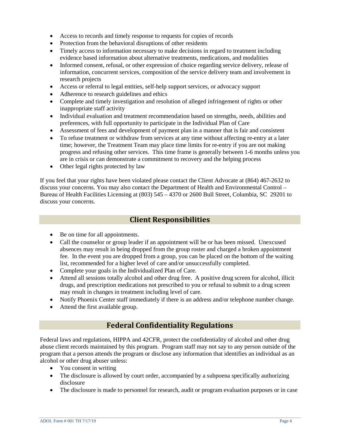- Access to records and timely response to requests for copies of records
- Protection from the behavioral disruptions of other residents
- Timely access to information necessary to make decisions in regard to treatment including evidence based information about alternative treatments, medications, and modalities
- Informed consent, refusal, or other expression of choice regarding service delivery, release of information, concurrent services, composition of the service delivery team and involvement in research projects
- Access or referral to legal entities, self-help support services, or advocacy support
- Adherence to research guidelines and ethics
- Complete and timely investigation and resolution of alleged infringement of rights or other inappropriate staff activity
- Individual evaluation and treatment recommendation based on strengths, needs, abilities and preferences, with full opportunity to participate in the Individual Plan of Care
- Assessment of fees and development of payment plan in a manner that is fair and consistent
- To refuse treatment or withdraw from services at any time without affecting re-entry at a later time; however, the Treatment Team may place time limits for re-entry if you are not making progress and refusing other services. This time frame is generally between 1-6 months unless you are in crisis or can demonstrate a commitment to recovery and the helping process
- Other legal rights protected by law

<span id="page-4-0"></span>If you feel that your rights have been violated please contact the Client Advocate at (864) 467-2632 to discuss your concerns. You may also contact the Department of Health and Environmental Control – Bureau of Health Facilities Licensing at (803) 545 – 4370 or 2600 Bull Street, Columbia, SC 29201 to discuss your concerns.

#### **Client Responsibilities**

- Be on time for all appointments.
- Call the counselor or group leader if an appointment will be or has been missed. Unexcused absences may result in being dropped from the group roster and charged a broken appointment fee. In the event you are dropped from a group, you can be placed on the bottom of the waiting list, recommended for a higher level of care and/or unsuccessfully completed.
- Complete your goals in the Individualized Plan of Care.
- Attend all sessions totally alcohol and other drug free. A positive drug screen for alcohol, illicit drugs, and prescription medications not prescribed to you or refusal to submit to a drug screen may result in changes in treatment including level of care.
- Notify Phoenix Center staff immediately if there is an address and/or telephone number change.
- <span id="page-4-1"></span>• Attend the first available group.

## **Federal Confidentiality Regulations**

Federal laws and regulations, HIPPA and 42CFR, protect the confidentiality of alcohol and other drug abuse client records maintained by this program. Program staff may not say to any person outside of the program that a person attends the program or disclose any information that identifies an individual as an alcohol or other drug abuser unless:

- You consent in writing
- The disclosure is allowed by court order, accompanied by a subpoena specifically authorizing disclosure
- The disclosure is made to personnel for research, audit or program evaluation purposes or in case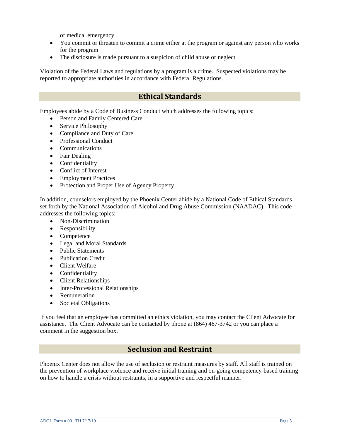of medical emergency

- You commit or threaten to commit a crime either at the program or against any person who works for the program
- The disclosure is made pursuant to a suspicion of child abuse or neglect

<span id="page-5-0"></span>Violation of the Federal Laws and regulations by a program is a crime. Suspected violations may be reported to appropriate authorities in accordance with Federal Regulations.

# **Ethical Standards**

Employees abide by a Code of Business Conduct which addresses the following topics:

- Person and Family Centered Care
- Service Philosophy
- Compliance and Duty of Care
- Professional Conduct
- Communications
- Fair Dealing
- Confidentiality
- Conflict of Interest
- Employment Practices
- Protection and Proper Use of Agency Property

In addition, counselors employed by the Phoenix Center abide by a National Code of Ethical Standards set forth by the National Association of Alcohol and Drug Abuse Commission (NAADAC). This code addresses the following topics:

- Non-Discrimination
- Responsibility
- Competence
- Legal and Moral Standards
- Public Statements
- Publication Credit
- Client Welfare
- Confidentiality
- Client Relationships
- Inter-Professional Relationships
- Remuneration
- Societal Obligations

<span id="page-5-1"></span>If you feel that an employee has committed an ethics violation, you may contact the Client Advocate for assistance. The Client Advocate can be contacted by phone at (864) 467-3742 or you can place a comment in the suggestion box.

#### **Seclusion and Restraint**

Phoenix Center does not allow the use of seclusion or restraint measures by staff. All staff is trained on the prevention of workplace violence and receive initial training and on-going competency-based training on how to handle a crisis without restraints, in a supportive and respectful manner.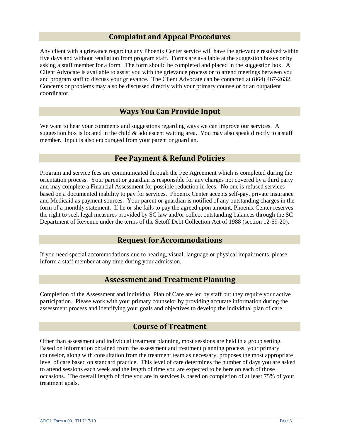#### **Complaint and Appeal Procedures**

<span id="page-6-0"></span>Any client with a grievance regarding any Phoenix Center service will have the grievance resolved within five days and without retaliation from program staff. Forms are available at the suggestion boxes or by asking a staff member for a form. The form should be completed and placed in the suggestion box. A Client Advocate is available to assist you with the grievance process or to attend meetings between you and program staff to discuss your grievance. The Client Advocate can be contacted at (864) 467-2632. Concerns or problems may also be discussed directly with your primary counselor or an outpatient coordinator.

#### **Ways You Can Provide Input**

<span id="page-6-2"></span><span id="page-6-1"></span>We want to hear your comments and suggestions regarding ways we can improve our services. A suggestion box is located in the child  $\&$  adolescent waiting area. You may also speak directly to a staff member. Input is also encouraged from your parent or guardian.

#### **Fee Payment & Refund Policies**

Program and service fees are communicated through the Fee Agreement which is completed during the orientation process. Your parent or guardian is responsible for any charges not covered by a third party and may complete a Financial Assessment for possible reduction in fees. No one is refused services based on a documented inability to pay for services. Phoenix Center accepts self-pay, private insurance and Medicaid as payment sources. Your parent or guardian is notified of any outstanding charges in the form of a monthly statement. If he or she fails to pay the agreed upon amount, Phoenix Center reserves the right to seek legal measures provided by SC law and/or collect outstanding balances through the SC Department of Revenue under the terms of the Setoff Debt Collection Act of 1988 (section 12-59-20).

#### **Request for Accommodations**

<span id="page-6-4"></span><span id="page-6-3"></span>If you need special accommodations due to hearing, visual, language or physical impairments, please inform a staff member at any time during your admission.

#### **Assessment and Treatment Planning**

<span id="page-6-5"></span>Completion of the Assessment and Individual Plan of Care are led by staff but they require your active participation. Please work with your primary counselor by providing accurate information during the assessment process and identifying your goals and objectives to develop the individual plan of care.

#### **Course of Treatment**

Other than assessment and individual treatment planning, most sessions are held in a group setting. Based on information obtained from the assessment and treatment planning process, your primary counselor, along with consultation from the treatment team as necessary, proposes the most appropriate level of care based on standard practice. This level of care determines the number of days you are asked to attend sessions each week and the length of time you are expected to be here on each of those occasions. The overall length of time you are in services is based on completion of at least 75% of your treatment goals.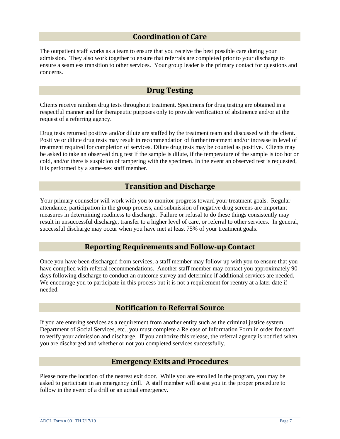#### **Coordination of Care**

<span id="page-7-0"></span>The outpatient staff works as a team to ensure that you receive the best possible care during your admission. They also work together to ensure that referrals are completed prior to your discharge to ensure a seamless transition to other services. Your group leader is the primary contact for questions and concerns.

#### **Drug Testing**

<span id="page-7-1"></span>Clients receive random drug tests throughout treatment. Specimens for drug testing are obtained in a respectful manner and for therapeutic purposes only to provide verification of abstinence and/or at the request of a referring agency.

Drug tests returned positive and/or dilute are staffed by the treatment team and discussed with the client. Positive or dilute drug tests may result in recommendation of further treatment and/or increase in level of treatment required for completion of services. Dilute drug tests may be counted as positive. Clients may be asked to take an observed drug test if the sample is dilute, if the temperature of the sample is too hot or cold, and/or there is suspicion of tampering with the specimen. In the event an observed test is requested, it is performed by a same-sex staff member.

#### **Transition and Discharge**

<span id="page-7-2"></span>Your primary counselor will work with you to monitor progress toward your treatment goals. Regular attendance, participation in the group process, and submission of negative drug screens are important measures in determining readiness to discharge. Failure or refusal to do these things consistently may result in unsuccessful discharge, transfer to a higher level of care, or referral to other services. In general, successful discharge may occur when you have met at least 75% of your treatment goals.

#### **Reporting Requirements and Follow-up Contact**

<span id="page-7-3"></span>Once you have been discharged from services, a staff member may follow-up with you to ensure that you have complied with referral recommendations. Another staff member may contact you approximately 90 days following discharge to conduct an outcome survey and determine if additional services are needed. We encourage you to participate in this process but it is not a requirement for reentry at a later date if needed.

#### **Notification to Referral Source**

<span id="page-7-4"></span>If you are entering services as a requirement from another entity such as the criminal justice system, Department of Social Services, etc., you must complete a Release of Information Form in order for staff to verify your admission and discharge. If you authorize this release, the referral agency is notified when you are discharged and whether or not you completed services successfully.

#### **Emergency Exits and Procedures**

<span id="page-7-5"></span>Please note the location of the nearest exit door. While you are enrolled in the program, you may be asked to participate in an emergency drill. A staff member will assist you in the proper procedure to follow in the event of a drill or an actual emergency.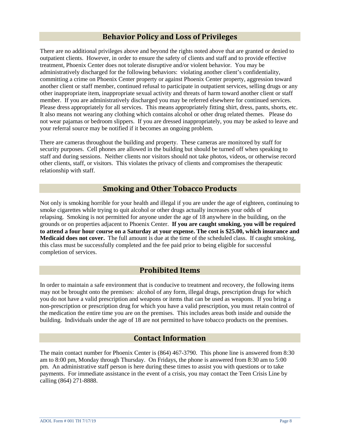#### **Behavior Policy and Loss of Privileges**

<span id="page-8-0"></span>There are no additional privileges above and beyond the rights noted above that are granted or denied to outpatient clients. However, in order to ensure the safety of clients and staff and to provide effective treatment, Phoenix Center does not tolerate disruptive and/or violent behavior. You may be administratively discharged for the following behaviors: violating another client's confidentiality, committing a crime on Phoenix Center property or against Phoenix Center property, aggression toward another client or staff member, continued refusal to participate in outpatient services, selling drugs or any other inappropriate item, inappropriate sexual activity and threats of harm toward another client or staff member. If you are administratively discharged you may be referred elsewhere for continued services. Please dress appropriately for all services. This means appropriately fitting shirt, dress, pants, shorts, etc. It also means not wearing any clothing which contains alcohol or other drug related themes. Please do not wear pajamas or bedroom slippers. If you are dressed inappropriately, you may be asked to leave and your referral source may be notified if it becomes an ongoing problem.

There are cameras throughout the building and property. These cameras are monitored by staff for security purposes. Cell phones are allowed in the building but should be turned off when speaking to staff and during sessions. Neither clients nor visitors should not take photos, videos, or otherwise record other clients, staff, or visitors. This violates the privacy of clients and compromises the therapeutic relationship with staff.

#### **Smoking and Other Tobacco Products**

<span id="page-8-1"></span>Not only is smoking horrible for your health and illegal if you are under the age of eighteen, continuing to smoke cigarettes while trying to quit alcohol or other drugs actually increases your odds of relapsing. Smoking is not permitted for anyone under the age of 18 anywhere in the building, on the grounds or on properties adjacent to Phoenix Center. **If you are caught smoking, you will be required to attend a four hour course on a Saturday at your expense. The cost is \$25.00, which insurance and Medicaid does not cover.** The full amount is due at the time of the scheduled class. If caught smoking, this class must be successfully completed and the fee paid prior to being eligible for successful completion of services.

#### **Prohibited Items**

<span id="page-8-2"></span>In order to maintain a safe environment that is conducive to treatment and recovery, the following items may not be brought onto the premises: alcohol of any form, illegal drugs, prescription drugs for which you do not have a valid prescription and weapons or items that can be used as weapons. If you bring a non-prescription or prescription drug for which you have a valid prescription, you must retain control of the medication the entire time you are on the premises. This includes areas both inside and outside the building. Individuals under the age of 18 are not permitted to have tobacco products on the premises.

#### **Contact Information**

<span id="page-8-3"></span>The main contact number for Phoenix Center is (864) 467-3790. This phone line is answered from 8:30 am to 8:00 pm, Monday through Thursday. On Fridays, the phone is answered from 8:30 am to 5:00 pm. An administrative staff person is here during these times to assist you with questions or to take payments. For immediate assistance in the event of a crisis, you may contact the Teen Crisis Line by calling (864) 271-8888.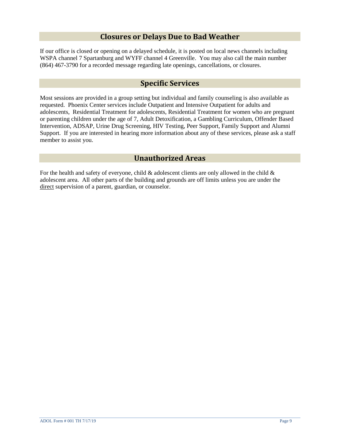#### **Closures or Delays Due to Bad Weather**

<span id="page-9-1"></span><span id="page-9-0"></span>If our office is closed or opening on a delayed schedule, it is posted on local news channels including WSPA channel 7 Spartanburg and WYFF channel 4 Greenville. You may also call the main number (864) 467-3790 for a recorded message regarding late openings, cancellations, or closures.

#### **Specific Services**

Most sessions are provided in a group setting but individual and family counseling is also available as requested. Phoenix Center services include Outpatient and Intensive Outpatient for adults and adolescents, Residential Treatment for adolescents, Residential Treatment for women who are pregnant or parenting children under the age of 7, Adult Detoxification, a Gambling Curriculum, Offender Based Intervention, ADSAP, Urine Drug Screening, HIV Testing, Peer Support, Family Support and Alumni Support. If you are interested in hearing more information about any of these services, please ask a staff member to assist you.

#### **Unauthorized Areas**

<span id="page-9-2"></span>For the health and safety of everyone, child  $\&$  adolescent clients are only allowed in the child  $\&$ adolescent area. All other parts of the building and grounds are off limits unless you are under the direct supervision of a parent, guardian, or counselor.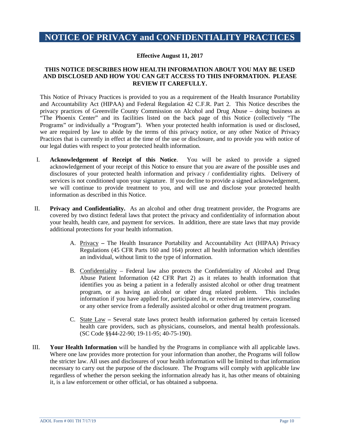# <span id="page-10-0"></span>**NOTICE OF PRIVACY and CONFIDENTIALITY PRACTICES**

#### **Effective August 11, 2017**

#### **THIS NOTICE DESCRIBES HOW HEALTH INFORMATION ABOUT YOU MAY BE USED AND DISCLOSED AND HOW YOU CAN GET ACCESS TO THIS INFORMATION. PLEASE REVIEW IT CAREFULLY.**

This Notice of Privacy Practices is provided to you as a requirement of the Health Insurance Portability and Accountability Act (HIPAA) and Federal Regulation 42 C.F.R. Part 2. This Notice describes the privacy practices of Greenville County Commission on Alcohol and Drug Abuse – doing business as "The Phoenix Center" and its facilities listed on the back page of this Notice (collectively "The Programs" or individually a "Program"). When your protected health information is used or disclosed, we are required by law to abide by the terms of this privacy notice, or any other Notice of Privacy Practices that is currently in effect at the time of the use or disclosure, and to provide you with notice of our legal duties with respect to your protected health information.

- I. **Acknowledgement of Receipt of this Notice**. You will be asked to provide a signed acknowledgement of your receipt of this Notice to ensure that you are aware of the possible uses and disclosures of your protected health information and privacy / confidentiality rights. Delivery of services is not conditioned upon your signature. If you decline to provide a signed acknowledgement, we will continue to provide treatment to you, and will use and disclose your protected health information as described in this Notice.
- II. **Privacy and Confidentiality.** As an alcohol and other drug treatment provider, the Programs are covered by two distinct federal laws that protect the privacy and confidentiality of information about your health, health care, and payment for services. In addition, there are state laws that may provide additional protections for your health information.
	- A. Privacy **–** The Health Insurance Portability and Accountability Act (HIPAA) Privacy Regulations (45 CFR Parts 160 and 164) protect all health information which identifies an individual, without limit to the type of information.
	- B. Confidentiality Federal law also protects the Confidentiality of Alcohol and Drug Abuse Patient Information (42 CFR Part 2) as it relates to health information that identifies you as being a patient in a federally assisted alcohol or other drug treatment program, or as having an alcohol or other drug related problem. This includes information if you have applied for, participated in, or received an interview, counseling or any other service from a federally assisted alcohol or other drug treatment program.
	- C. State Law **–** Several state laws protect health information gathered by certain licensed health care providers, such as physicians, counselors, and mental health professionals. (SC Code §§44-22-90; 19-11-95; 40-75-190).
- III. **Your Health Information** will be handled by the Programs in compliance with all applicable laws. Where one law provides more protection for your information than another, the Programs will follow the stricter law. All uses and disclosures of your health information will be limited to that information necessary to carry out the purpose of the disclosure. The Programs will comply with applicable law regardless of whether the person seeking the information already has it, has other means of obtaining it, is a law enforcement or other official, or has obtained a subpoena.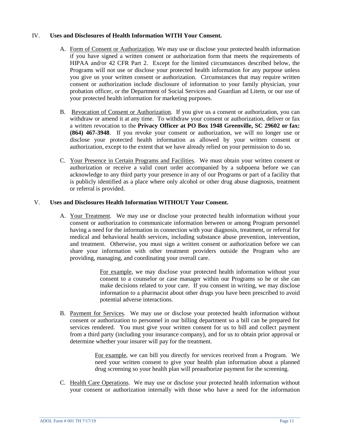#### IV. **Uses and Disclosures of Health Information WITH Your Consent.**

- A. Form of Consent or Authorization. We may use or disclose your protected health information if you have signed a written consent or authorization form that meets the requirements of HIPAA and/or 42 CFR Part 2. Except for the limited circumstances described below, the Programs will not use or disclose your protected health information for any purpose unless you give us your written consent or authorization. Circumstances that may require written consent or authorization include disclosure of information to your family physician, your probation officer, or the Department of Social Services and Guardian ad Litem, or our use of your protected health information for marketing purposes.
- B. Revocation of Consent or Authorization. If you give us a consent or authorization, you can withdraw or amend it at any time. To withdraw your consent or authorization, deliver or fax a written revocation to the **Privacy Officer at PO Box 1948 Greenville, SC 29602 or fax: (864) 467-3948**. If you revoke your consent or authorization, we will no longer use or disclose your protected health information as allowed by your written consent or authorization, except to the extent that we have already relied on your permission to do so.
- C. Your Presence in Certain Programs and Facilities. We must obtain your written consent or authorization or receive a valid court order accompanied by a subpoena before we can acknowledge to any third party your presence in any of our Programs or part of a facility that is publicly identified as a place where only alcohol or other drug abuse diagnosis, treatment or referral is provided.

#### V. **Uses and Disclosures Health Information WITHOUT Your Consent.**

A. Your Treatment. We may use or disclose your protected health information without your consent or authorization to communicate information between or among Program personnel having a need for the information in connection with your diagnosis, treatment, or referral for medical and behavioral health services, including substance abuse prevention, intervention, and treatment. Otherwise, you must sign a written consent or authorization before we can share your information with other treatment providers outside the Program who are providing, managing, and coordinating your overall care.

> For example, we may disclose your protected health information without your consent to a counselor or case manager within our Programs so he or she can make decisions related to your care. If you consent in writing, we may disclose information to a pharmacist about other drugs you have been prescribed to avoid potential adverse interactions.

B. Payment for Services. We may use or disclose your protected health information without consent or authorization to personnel in our billing department so a bill can be prepared for services rendered. You must give your written consent for us to bill and collect payment from a third party (including your insurance company), and for us to obtain prior approval or determine whether your insurer will pay for the treatment.

> For example, we can bill you directly for services received from a Program. We need your written consent to give your health plan information about a planned drug screening so your health plan will preauthorize payment for the screening.

C. Health Care Operations. We may use or disclose your protected health information without your consent or authorization internally with those who have a need for the information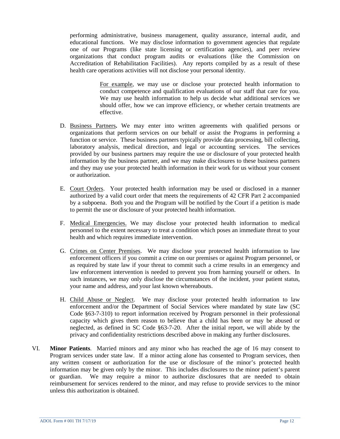performing administrative, business management, quality assurance, internal audit, and educational functions. We may disclose information to government agencies that regulate one of our Programs (like state licensing or certification agencies), and peer review organizations that conduct program audits or evaluations (like the Commission on Accreditation of Rehabilitation Facilities). Any reports compiled by as a result of these health care operations activities will not disclose your personal identity.

> For example, we may use or disclose your protected health information to conduct competence and qualification evaluations of our staff that care for you. We may use health information to help us decide what additional services we should offer, how we can improve efficiency, or whether certain treatments are effective.

- D. Business Partners**.** We may enter into written agreements with qualified persons or organizations that perform services on our behalf or assist the Programs in performing a function or service. These business partners typically provide data processing, bill collecting, laboratory analysis, medical direction, and legal or accounting services. The services provided by our business partners may require the use or disclosure of your protected health information by the business partner, and we may make disclosures to these business partners and they may use your protected health information in their work for us without your consent or authorization.
- E. Court Orders. Your protected health information may be used or disclosed in a manner authorized by a valid court order that meets the requirements of 42 CFR Part 2 accompanied by a subpoena. Both you and the Program will be notified by the Court if a petition is made to permit the use or disclosure of your protected health information.
- F. Medical Emergencies. We may disclose your protected health information to medical personnel to the extent necessary to treat a condition which poses an immediate threat to your health and which requires immediate intervention.
- G. Crimes on Center Premises. We may disclose your protected health information to law enforcement officers if you commit a crime on our premises or against Program personnel, or as required by state law if your threat to commit such a crime results in an emergency and law enforcement intervention is needed to prevent you from harming yourself or others. In such instances, we may only disclose the circumstances of the incident, your patient status, your name and address, and your last known whereabouts.
- H. Child Abuse or Neglect. We may disclose your protected health information to law enforcement and/or the Department of Social Services where mandated by state law (SC Code §63-7-310) to report information received by Program personnel in their professional capacity which gives them reason to believe that a child has been or may be abused or neglected, as defined in SC Code §63-7-20. After the initial report, we will abide by the privacy and confidentiality restrictions described above in making any further disclosures.
- VI. **Minor Patients**. Married minors and any minor who has reached the age of 16 may consent to Program services under state law. If a minor acting alone has consented to Program services, then any written consent or authorization for the use or disclosure of the minor's protected health information may be given only by the minor. This includes disclosures to the minor patient's parent or guardian. We may require a minor to authorize disclosures that are needed to obtain reimbursement for services rendered to the minor, and may refuse to provide services to the minor unless this authorization is obtained.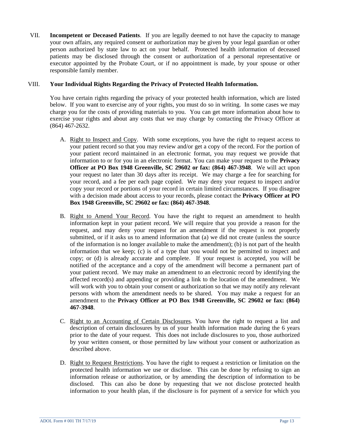VII. **Incompetent or Deceased Patients**. If you are legally deemed to not have the capacity to manage your own affairs, any required consent or authorization may be given by your legal guardian or other person authorized by state law to act on your behalf. Protected health information of deceased patients may be disclosed through the consent or authorization of a personal representative or executor appointed by the Probate Court, or if no appointment is made, by your spouse or other responsible family member.

#### VIII. **Your Individual Rights Regarding the Privacy of Protected Health Information.**

You have certain rights regarding the privacy of your protected health information, which are listed below. If you want to exercise any of your rights, you must do so in writing. In some cases we may charge you for the costs of providing materials to you. You can get more information about how to exercise your rights and about any costs that we may charge by contacting the Privacy Officer at (864) 467-2632.

- A. Right to Inspect and Copy. With some exceptions, you have the right to request access to your patient record so that you may review and/or get a copy of the record. For the portion of your patient record maintained in an electronic format, you may request we provide that information to or for you in an electronic format. You can make your request to the **Privacy Officer at PO Box 1948 Greenville, SC 29602 or fax: (864) 467-3948**. We will act upon your request no later than 30 days after its receipt. We may charge a fee for searching for your record, and a fee per each page copied. We may deny your request to inspect and/or copy your record or portions of your record in certain limited circumstances. If you disagree with a decision made about access to your records, please contact the **Privacy Officer at PO Box 1948 Greenville, SC 29602 or fax: (864) 467-3948**.
- B. Right to Amend Your Record. You have the right to request an amendment to health information kept in your patient record. We will require that you provide a reason for the request, and may deny your request for an amendment if the request is not properly submitted, or if it asks us to amend information that (a) we did not create (unless the source of the information is no longer available to make the amendment); (b) is not part of the health information that we keep; (c) is of a type that you would not be permitted to inspect and copy; or (d) is already accurate and complete. If your request is accepted, you will be notified of the acceptance and a copy of the amendment will become a permanent part of your patient record. We may make an amendment to an electronic record by identifying the affected record(s) and appending or providing a link to the location of the amendment. We will work with you to obtain your consent or authorization so that we may notify any relevant persons with whom the amendment needs to be shared. You may make a request for an amendment to the **Privacy Officer at PO Box 1948 Greenville, SC 29602 or fax: (864) 467-3948**.
- C. Right to an Accounting of Certain Disclosures. You have the right to request a list and description of certain disclosures by us of your health information made during the 6 years prior to the date of your request. This does not include disclosures to you, those authorized by your written consent, or those permitted by law without your consent or authorization as described above.
- D. Right to Request Restrictions. You have the right to request a restriction or limitation on the protected health information we use or disclose. This can be done by refusing to sign an information release or authorization, or by amending the description of information to be disclosed. This can also be done by requesting that we not disclose protected health information to your health plan, if the disclosure is for payment of a service for which you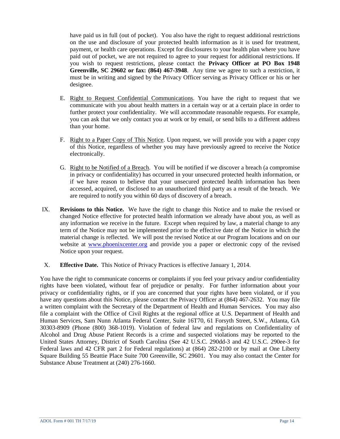have paid us in full (out of pocket). You also have the right to request additional restrictions on the use and disclosure of your protected health information as it is used for treatment, payment, or health care operations. Except for disclosures to your health plan where you have paid out of pocket, we are not required to agree to your request for additional restrictions. If you wish to request restrictions, please contact the **Privacy Officer at PO Box 1948 Greenville, SC 29602 or fax: (864) 467-3948**. Any time we agree to such a restriction, it must be in writing and signed by the Privacy Officer serving as Privacy Officer or his or her designee.

- E. Right to Request Confidential Communications. You have the right to request that we communicate with you about health matters in a certain way or at a certain place in order to further protect your confidentiality. We will accommodate reasonable requests. For example, you can ask that we only contact you at work or by email, or send bills to a different address than your home.
- F. Right to a Paper Copy of This Notice. Upon request, we will provide you with a paper copy of this Notice, regardless of whether you may have previously agreed to receive the Notice electronically.
- G. Right to be Notified of a Breach. You will be notified if we discover a breach (a compromise in privacy or confidentiality) has occurred in your unsecured protected health information, or if we have reason to believe that your unsecured protected health information has been accessed, acquired, or disclosed to an unauthorized third party as a result of the breach. We are required to notify you within 60 days of discovery of a breach.
- IX. **Revisions to this Notice.** We have the right to change this Notice and to make the revised or changed Notice effective for protected health information we already have about you, as well as any information we receive in the future. Except when required by law, a material change to any term of the Notice may not be implemented prior to the effective date of the Notice in which the material change is reflected. We will post the revised Notice at our Program locations and on our website at [www.phoenixcenter.org](http://www.phoenixcenter.org/) and provide you a paper or electronic copy of the revised Notice upon your request.
- X. **Effective Date.** This Notice of Privacy Practices is effective January 1, 2014.

You have the right to communicate concerns or complaints if you feel your privacy and/or confidentiality rights have been violated, without fear of prejudice or penalty. For further information about your privacy or confidentiality rights, or if you are concerned that your rights have been violated, or if you have any questions about this Notice, please contact the Privacy Officer at (864) 467-2632. You may file a written complaint with the Secretary of the Department of Health and Human Services. You may also file a complaint with the Office of Civil Rights at the regional office at U.S. Department of Health and Human Services, Sam Nunn Atlanta Federal Center, Suite 16T70, 61 Forsyth Street, S.W., Atlanta, GA 30303-8909 (Phone (800) 368-1019). Violation of federal law and regulations on Confidentiality of Alcohol and Drug Abuse Patient Records is a crime and suspected violations may be reported to the United States Attorney, District of South Carolina (See 42 U.S.C. 290dd-3 and 42 U.S.C. 290ee-3 for Federal laws and 42 CFR part 2 for Federal regulations) at (864) 282-2100 or by mail at One Liberty Square Building 55 Beattie Place Suite 700 Greenville, SC 29601. You may also contact the Center for Substance Abuse Treatment at (240) 276-1660.